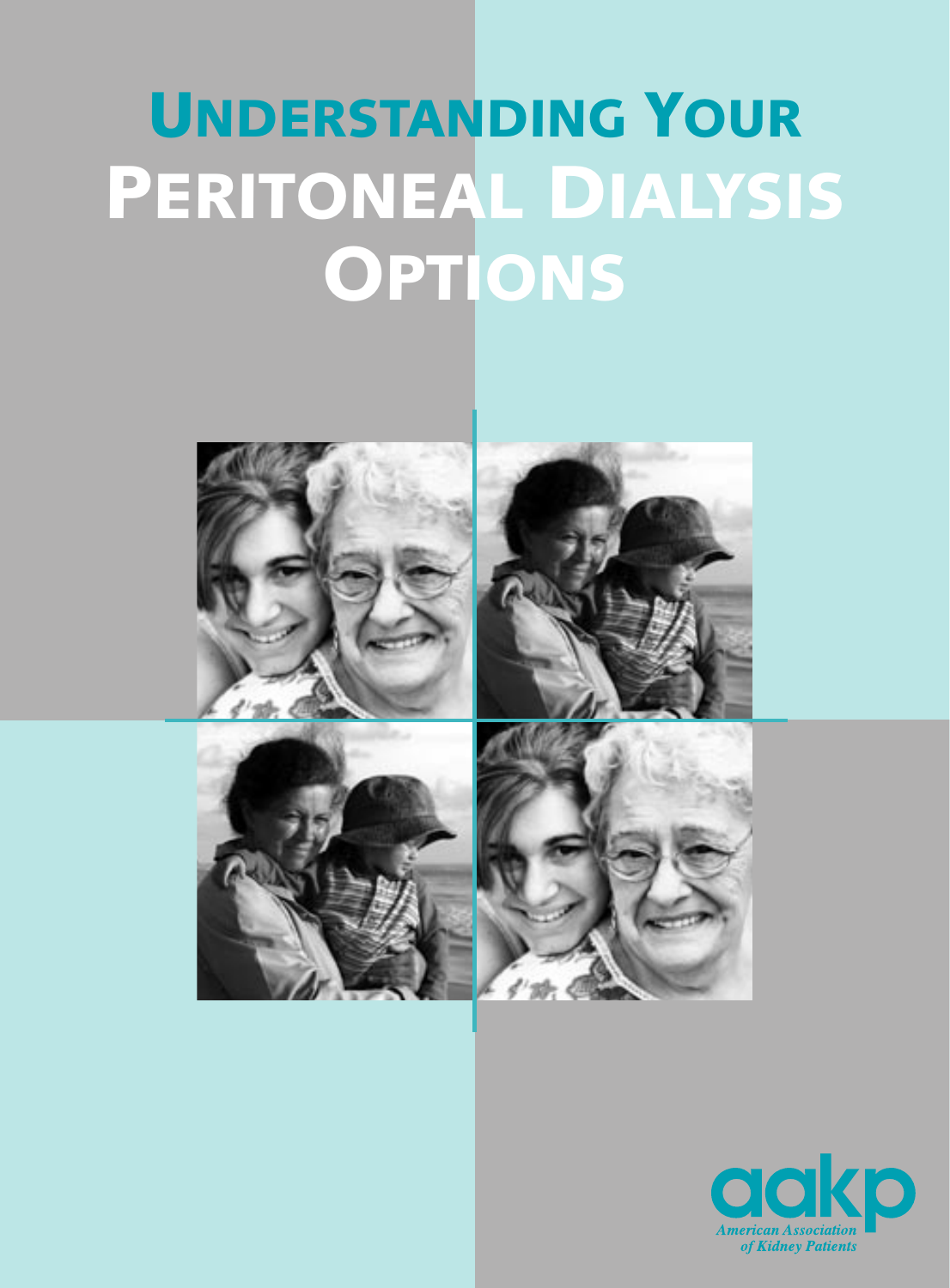# UNDERSTANDING YOUR PERITONEAL DIALYSIS **OPTIONS**



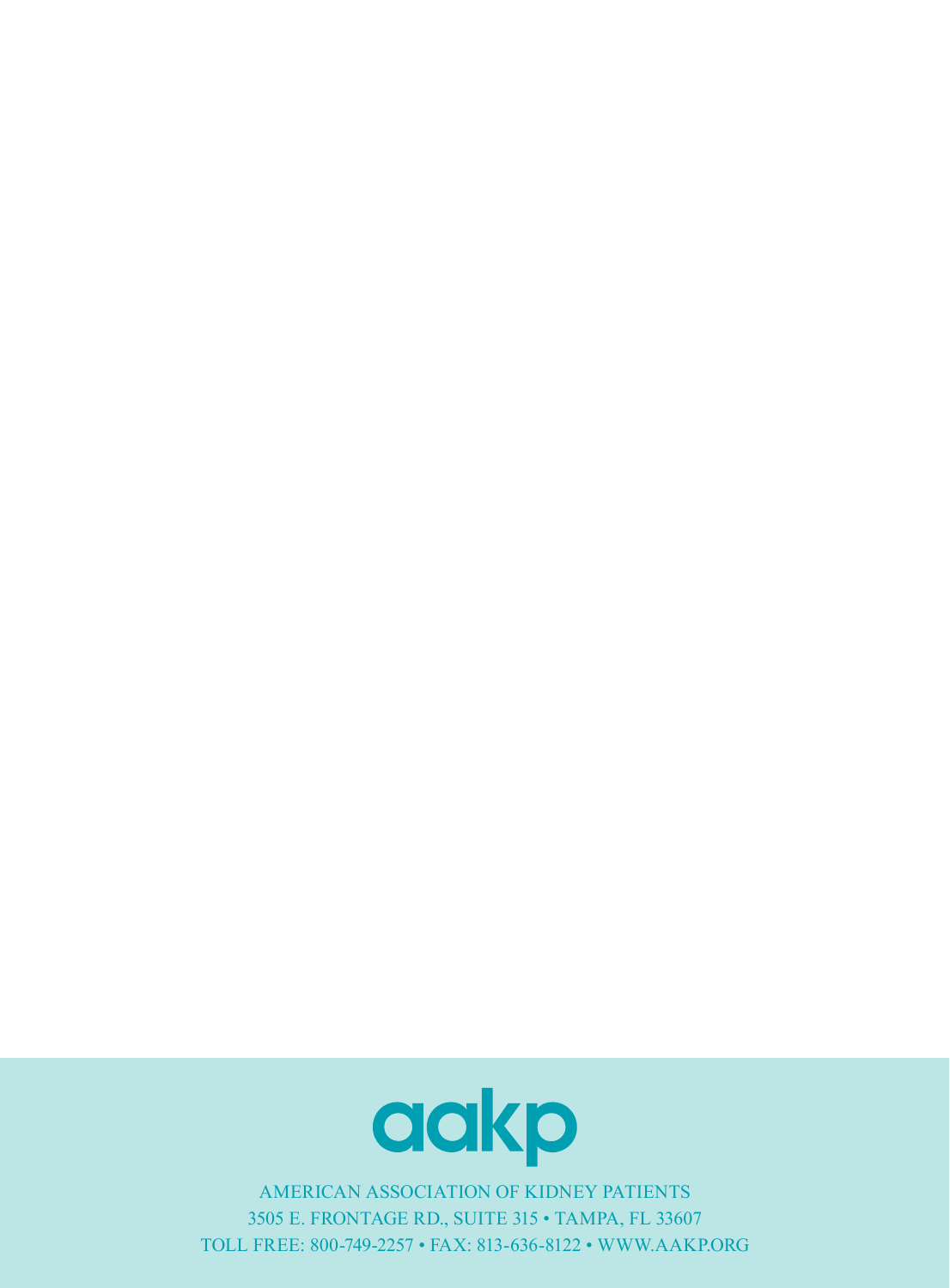

AMERICAN ASSOCIATION OF KIDNEY PATIENTS 3505 E. FRONTAGE RD., SUITE 315 • TAMPA, FL 33607 TOLL FREE: 800-749-2257 • FAX: 813-636-8122 • WWW.AAKP.ORG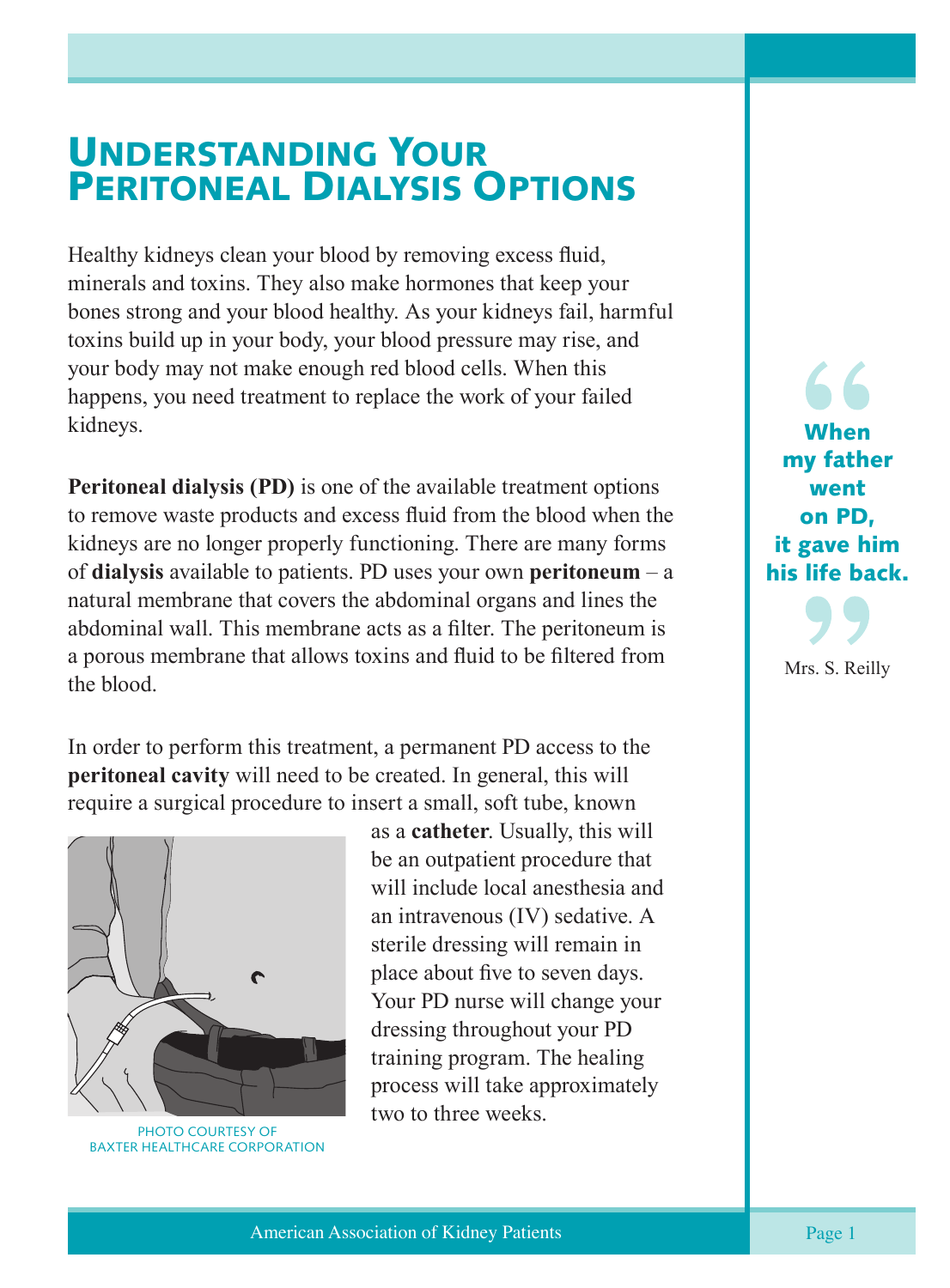### UNDERSTANDING YOUR PERITONEAL DIALYSIS OPTIONS

Healthy kidneys clean your blood by removing excess fluid, minerals and toxins. They also make hormones that keep your bones strong and your blood healthy. As your kidneys fail, harmful toxins build up in your body, your blood pressure may rise, and your body may not make enough red blood cells. When this happens, you need treatment to replace the work of your failed kidneys.

**Peritoneal dialysis (PD)** is one of the available treatment options to remove waste products and excess fluid from the blood when the kidneys are no longer properly functioning. There are many forms of **dialysis** available to patients. PD uses your own **peritoneum** – a natural membrane that covers the abdominal organs and lines the abdominal wall. This membrane acts as a filter. The peritoneum is a porous membrane that allows toxins and fluid to be filtered from the blood.

In order to perform this treatment, a permanent PD access to the **peritoneal cavity** will need to be created. In general, this will require a surgical procedure to insert a small, soft tube, known



PHOTO COURTESY OF BAXTER HEALTHCARE CORPORATION

as a **catheter**. Usually, this will be an outpatient procedure that will include local anesthesia and an intravenous (IV) sedative. A sterile dressing will remain in place about five to seven days. Your PD nurse will change your dressing throughout your PD training program. The healing process will take approximately two to three weeks.

When my father went on PD, it gave him his life back.

Mrs. S. Reilly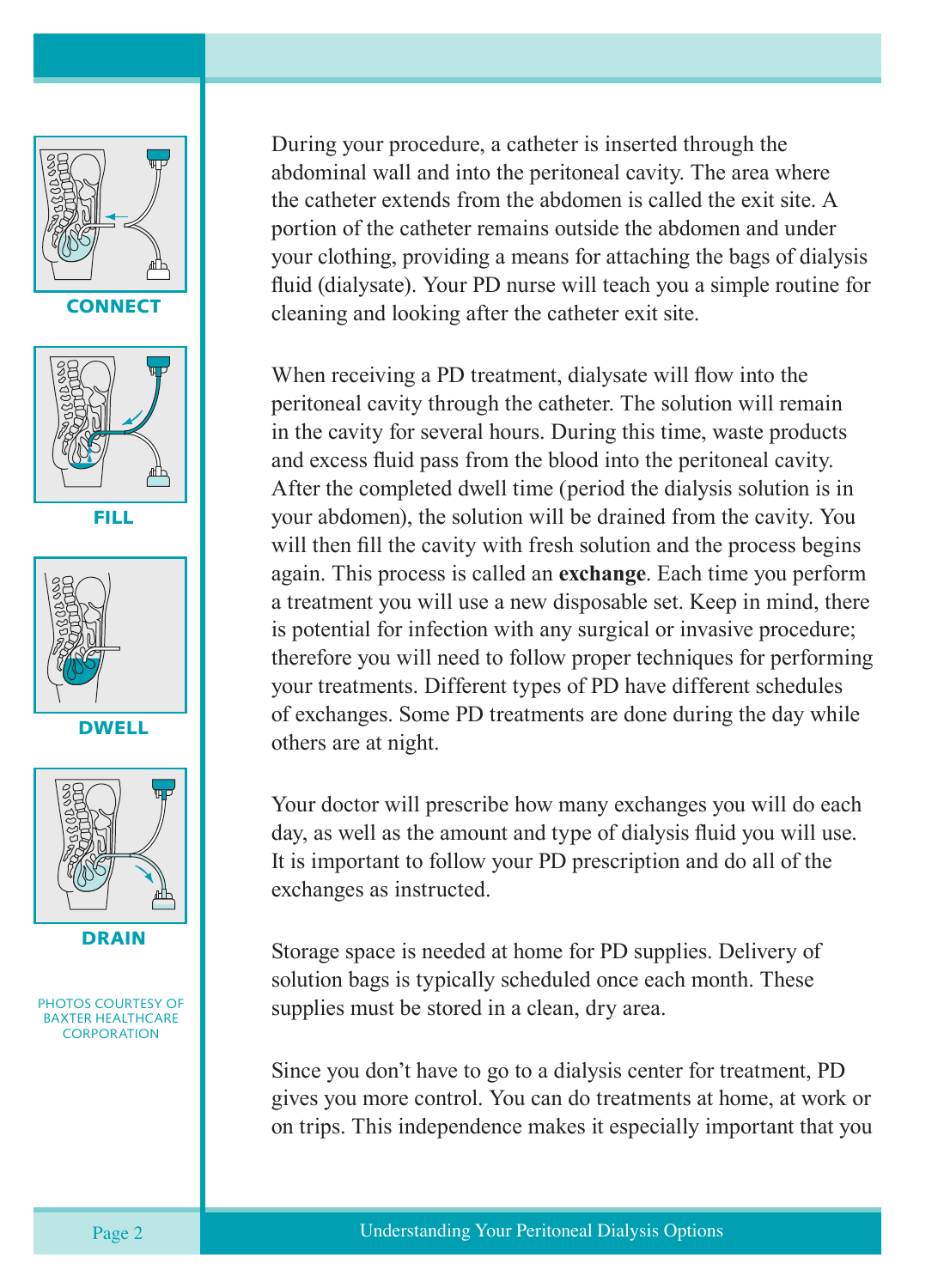

**CONNECT** 



FILL







DRAIN

PHOTOS COURTESY OF BAXTER HEALTHCARE **CORPORATION** 

During your procedure, a catheter is inserted through the abdominal wall and into the peritoneal cavity. The area where the catheter extends from the abdomen is called the exit site. A portion of the catheter remains outside the abdomen and under your clothing, providing a means for attaching the bags of dialysis fluid (dialysate). Your PD nurse will teach you a simple routine for cleaning and looking after the catheter exit site.

When receiving a PD treatment, dialysate will flow into the peritoneal cavity through the catheter. The solution will remain in the cavity for several hours. During this time, waste products and excess fluid pass from the blood into the peritoneal cavity. After the completed dwell time (period the dialysis solution is in your abdomen), the solution will be drained from the cavity. You will then fill the cavity with fresh solution and the process begins again. This process is called an **exchange**. Each time you perform a treatment you will use a new disposable set. Keep in mind, there is potential for infection with any surgical or invasive procedure; therefore you will need to follow proper techniques for performing your treatments. Different types of PD have different schedules of exchanges. Some PD treatments are done during the day while others are at night.

Your doctor will prescribe how many exchanges you will do each day, as well as the amount and type of dialysis fluid you will use. It is important to follow your PD prescription and do all of the exchanges as instructed.

Storage space is needed at home for PD supplies. Delivery of solution bags is typically scheduled once each month. These supplies must be stored in a clean, dry area.

Since you don't have to go to a dialysis center for treatment, PD gives you more control. You can do treatments at home, at work or on trips. This independence makes it especially important that you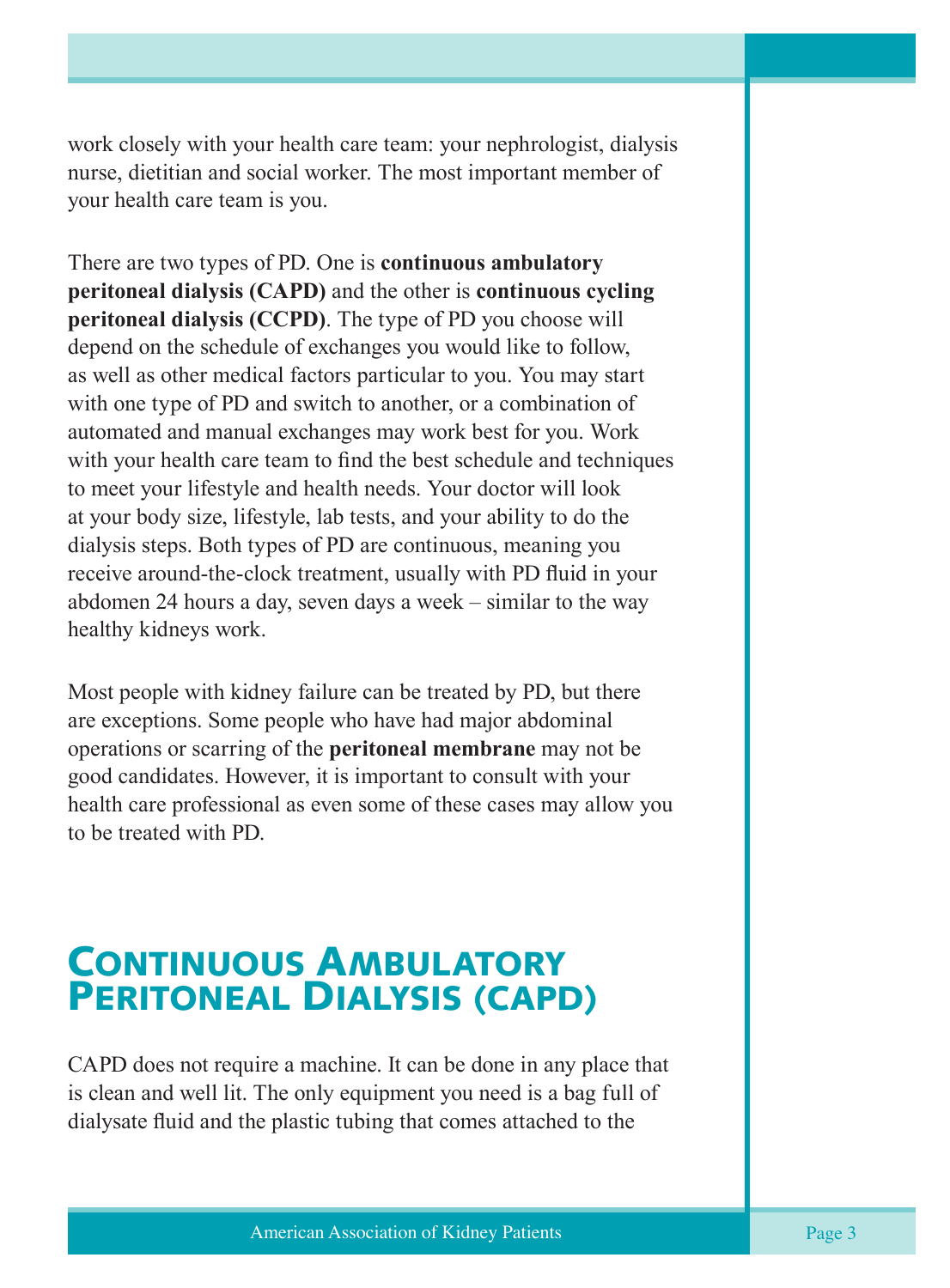work closely with your health care team: your nephrologist, dialysis nurse, dietitian and social worker. The most important member of your health care team is you.

There are two types of PD. One is **continuous ambulatory peritoneal dialysis (CAPD)** and the other is **continuous cycling peritoneal dialysis (CCPD)**. The type of PD you choose will depend on the schedule of exchanges you would like to follow, as well as other medical factors particular to you. You may start with one type of PD and switch to another, or a combination of automated and manual exchanges may work best for you. Work with your health care team to find the best schedule and techniques to meet your lifestyle and health needs. Your doctor will look at your body size, lifestyle, lab tests, and your ability to do the dialysis steps. Both types of PD are continuous, meaning you receive around-the-clock treatment, usually with PD fluid in your abdomen 24 hours a day, seven days a week – similar to the way healthy kidneys work.

Most people with kidney failure can be treated by PD, but there are exceptions. Some people who have had major abdominal operations or scarring of the **peritoneal membrane** may not be good candidates. However, it is important to consult with your health care professional as even some of these cases may allow you to be treated with PD.

### CONTINUOUS AMBULATORY PERITONEAL DIALYSIS (CAPD)

CAPD does not require a machine. It can be done in any place that is clean and well lit. The only equipment you need is a bag full of dialysate fluid and the plastic tubing that comes attached to the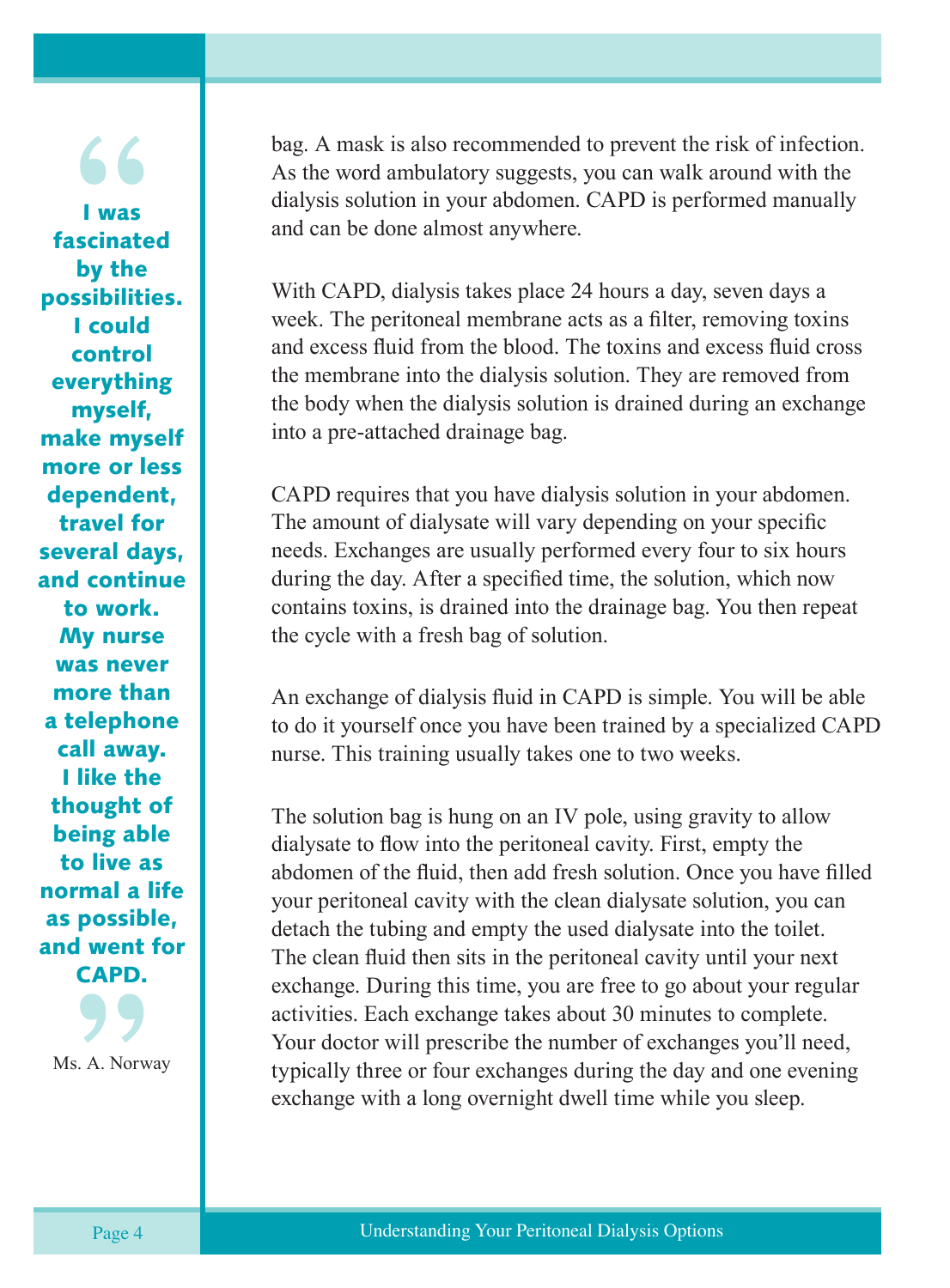I was fascinated by the possibilities. I could control everything myself, make myself more or less dependent, travel for several days, and continue to work. My nurse was never more than a telephone call away. I like the thought of being able to live as normal a life as possible, and went for CAPD.

Ms. A. Norway

bag. A mask is also recommended to prevent the risk of infection. As the word ambulatory suggests, you can walk around with the dialysis solution in your abdomen. CAPD is performed manually and can be done almost anywhere.

With CAPD, dialysis takes place 24 hours a day, seven days a week. The peritoneal membrane acts as a filter, removing toxins and excess fluid from the blood. The toxins and excess fluid cross the membrane into the dialysis solution. They are removed from the body when the dialysis solution is drained during an exchange into a pre-attached drainage bag.

CAPD requires that you have dialysis solution in your abdomen. The amount of dialysate will vary depending on your specific needs. Exchanges are usually performed every four to six hours during the day. After a specified time, the solution, which now contains toxins, is drained into the drainage bag. You then repeat the cycle with a fresh bag of solution.

An exchange of dialysis fluid in CAPD is simple. You will be able to do it yourself once you have been trained by a specialized CAPD nurse. This training usually takes one to two weeks.

The solution bag is hung on an IV pole, using gravity to allow dialysate to flow into the peritoneal cavity. First, empty the abdomen of the fluid, then add fresh solution. Once you have filled your peritoneal cavity with the clean dialysate solution, you can detach the tubing and empty the used dialysate into the toilet. The clean fluid then sits in the peritoneal cavity until your next exchange. During this time, you are free to go about your regular activities. Each exchange takes about 30 minutes to complete. Your doctor will prescribe the number of exchanges you'll need, typically three or four exchanges during the day and one evening exchange with a long overnight dwell time while you sleep.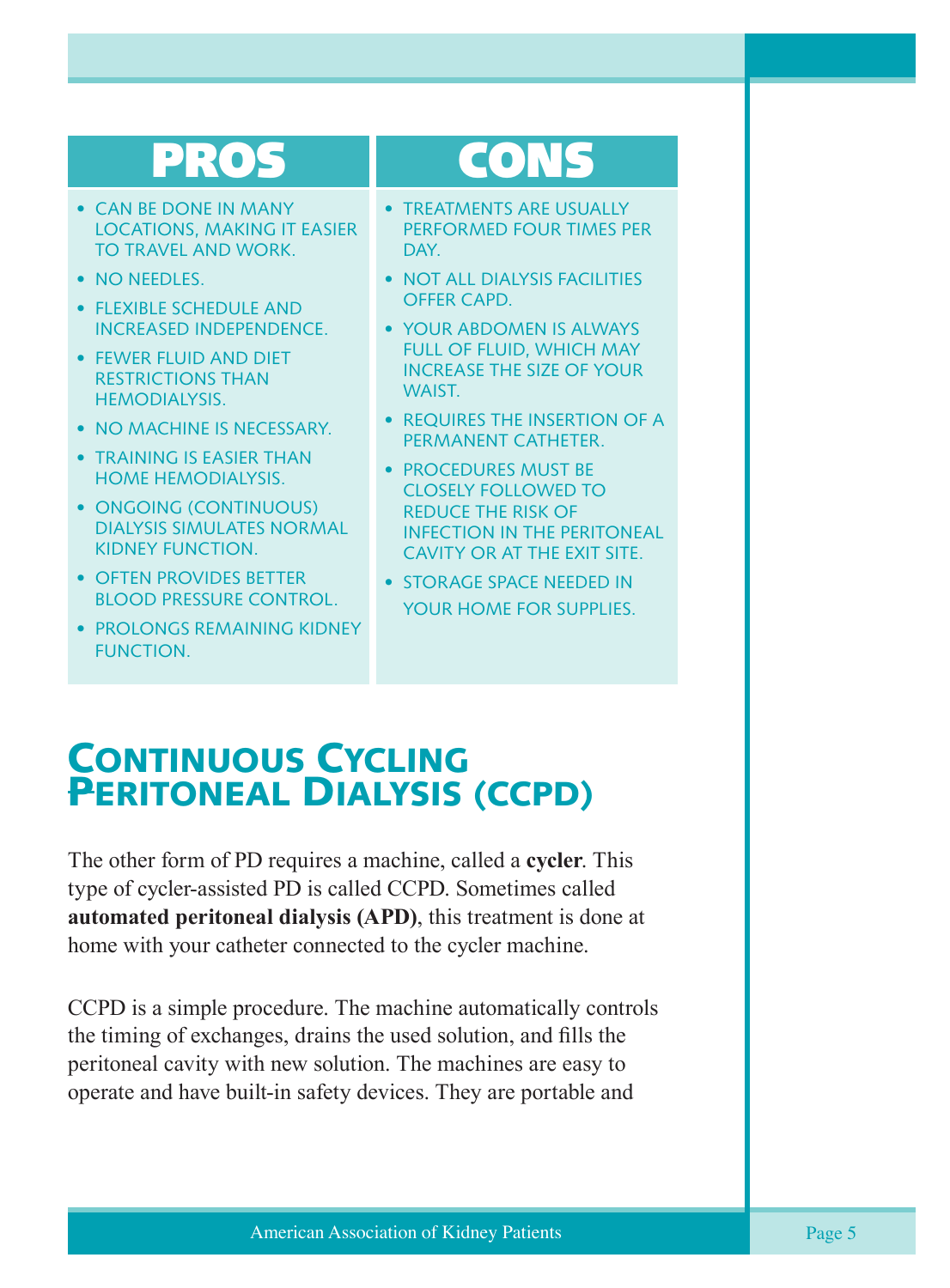# PROS

- CAN BE DONE IN MANY LOCATIONS, MAKING IT EASIER TO TRAVEL AND WORK.
- NO NEEDLES.
- FLEXIBLE SCHEDULE AND INCREASED INDEPENDENCE.
- FEWER FLUID AND DIET RESTRICTIONS THAN HEMODIALYSIS.
- NO MACHINE IS NECESSARY.
- TRAINING IS EASIER THAN HOME HEMODIALYSIS.
- ONGOING (CONTINUOUS) DIALYSIS SIMULATES NORMAL KIDNEY FUNCTION.
- OFTEN PROVIDES BETTER BLOOD PRESSURE CONTROL.
- PROLONGS REMAINING KIDNEY FUNCTION.

# CONS

- TREATMENTS ARE USUALLY PERFORMED FOUR TIMES PER DAY.
- NOT ALL DIALYSIS FACILITIES OFFER CAPD.
- YOUR ABDOMEN IS ALWAYS FULL OF FLUID, WHICH MAY INCREASE THE SIZE OF YOUR WAIST.
- REQUIRES THE INSERTION OF A PERMANENT CATHETER.
- PROCEDURES MUST BE CLOSELY FOLLOWED TO REDUCE THE RISK OF INFECTION IN THE PERITONEAL CAVITY OR AT THE EXIT SITE.
- STORAGE SPACE NEEDED IN YOUR HOME FOR SUPPLIES.

### CONTINUOUS CYCLING PERITONEAL DIALYSIS (CCPD)

The other form of PD requires a machine, called a **cycler**. This type of cycler-assisted PD is called CCPD. Sometimes called **automated peritoneal dialysis (APD)**, this treatment is done at home with your catheter connected to the cycler machine.

CCPD is a simple procedure. The machine automatically controls the timing of exchanges, drains the used solution, and fills the peritoneal cavity with new solution. The machines are easy to operate and have built-in safety devices. They are portable and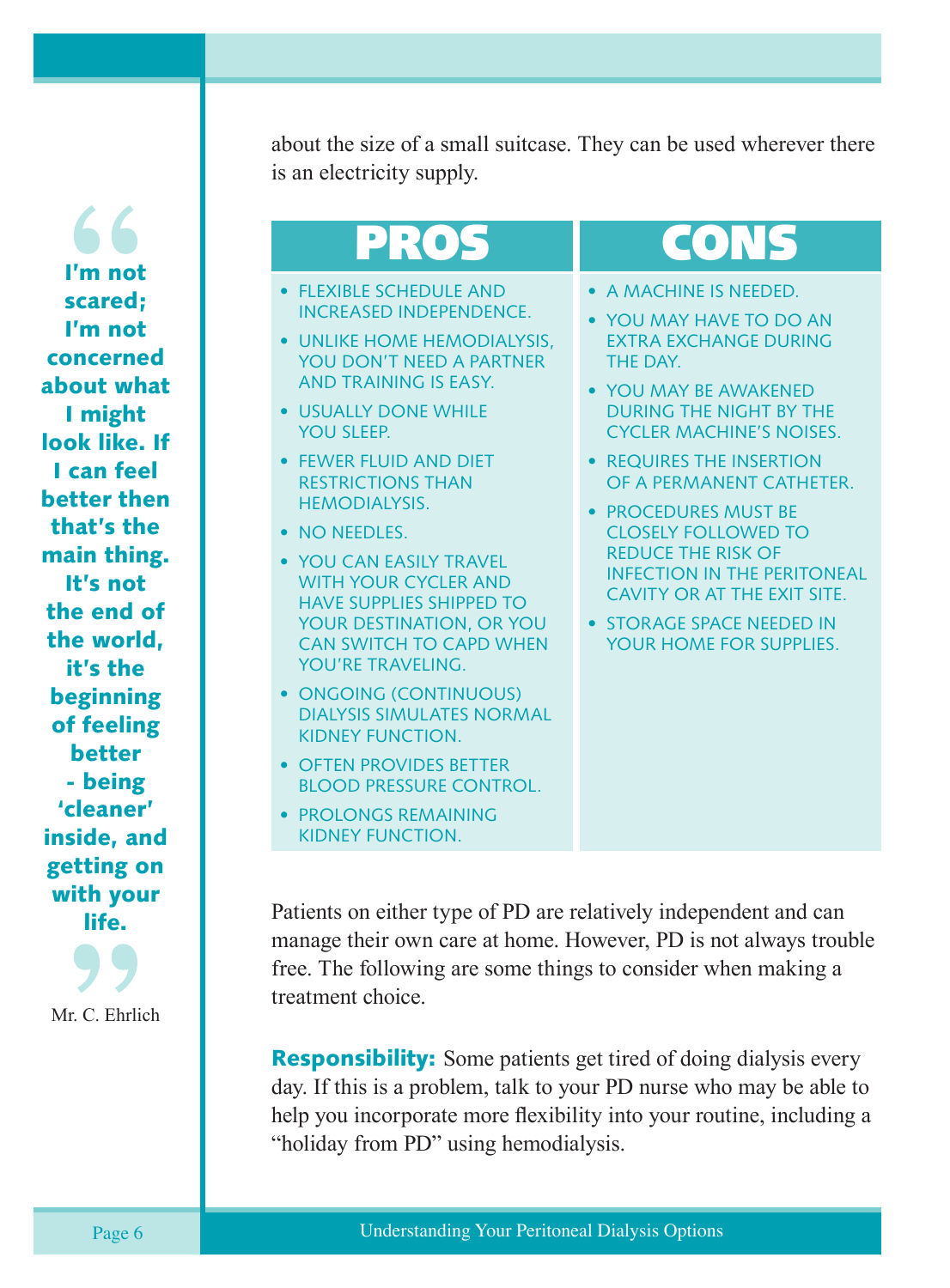66 I'm not scared; I'm not concerned about what I might look like. If I can feel better then that's the main thing. It's not the end of the world, it's the beginning of feeling better - being 'cleaner' inside, and getting on with your life.

Mr. C. Ehrlich

about the size of a small suitcase. They can be used wherever there is an electricity supply.

# PROS

- FLEXIBLE SCHEDULE AND INCREASED INDEPENDENCE.
- UNLIKE HOME HEMODIALYSIS, YOU DON'T NEED A PARTNER AND TRAINING IS EASY.
- USUALLY DONE WHILE YOU SLEEP.
- FEWER FLUID AND DIET RESTRICTIONS THAN HEMODIALYSIS.
- NO NEEDLES.
- YOU CAN EASILY TRAVEL WITH YOUR CYCLER AND HAVE SUPPLIES SHIPPED TO YOUR DESTINATION, OR YOU CAN SWITCH TO CAPD WHEN YOU'RE TRAVELING.
- ONGOING (CONTINUOUS) DIALYSIS SIMULATES NORMAL KIDNEY FUNCTION.
- OFTEN PROVIDES BETTER BLOOD PRESSURE CONTROL.
- PROLONGS REMAINING KIDNEY FUNCTION.

# CONS

- A MACHINE IS NEEDED.
- YOU MAY HAVE TO DO AN EXTRA EXCHANGE DURING THE DAY.
- YOU MAY BE AWAKENED DURING THE NIGHT BY THE CYCLER MACHINE'S NOISES.
- REQUIRES THE INSERTION OF A PERMANENT CATHETER.
- PROCEDURES MUST BE CLOSELY FOLLOWED TO REDUCE THE RISK OF INFECTION IN THE PERITONEAL CAVITY OR AT THE EXIT SITE.
- STORAGE SPACE NEEDED IN YOUR HOME FOR SUPPLIES.

Patients on either type of PD are relatively independent and can manage their own care at home. However, PD is not always trouble free. The following are some things to consider when making a treatment choice.

**Responsibility:** Some patients get tired of doing dialysis every day. If this is a problem, talk to your PD nurse who may be able to help you incorporate more flexibility into your routine, including a "holiday from PD" using hemodialysis.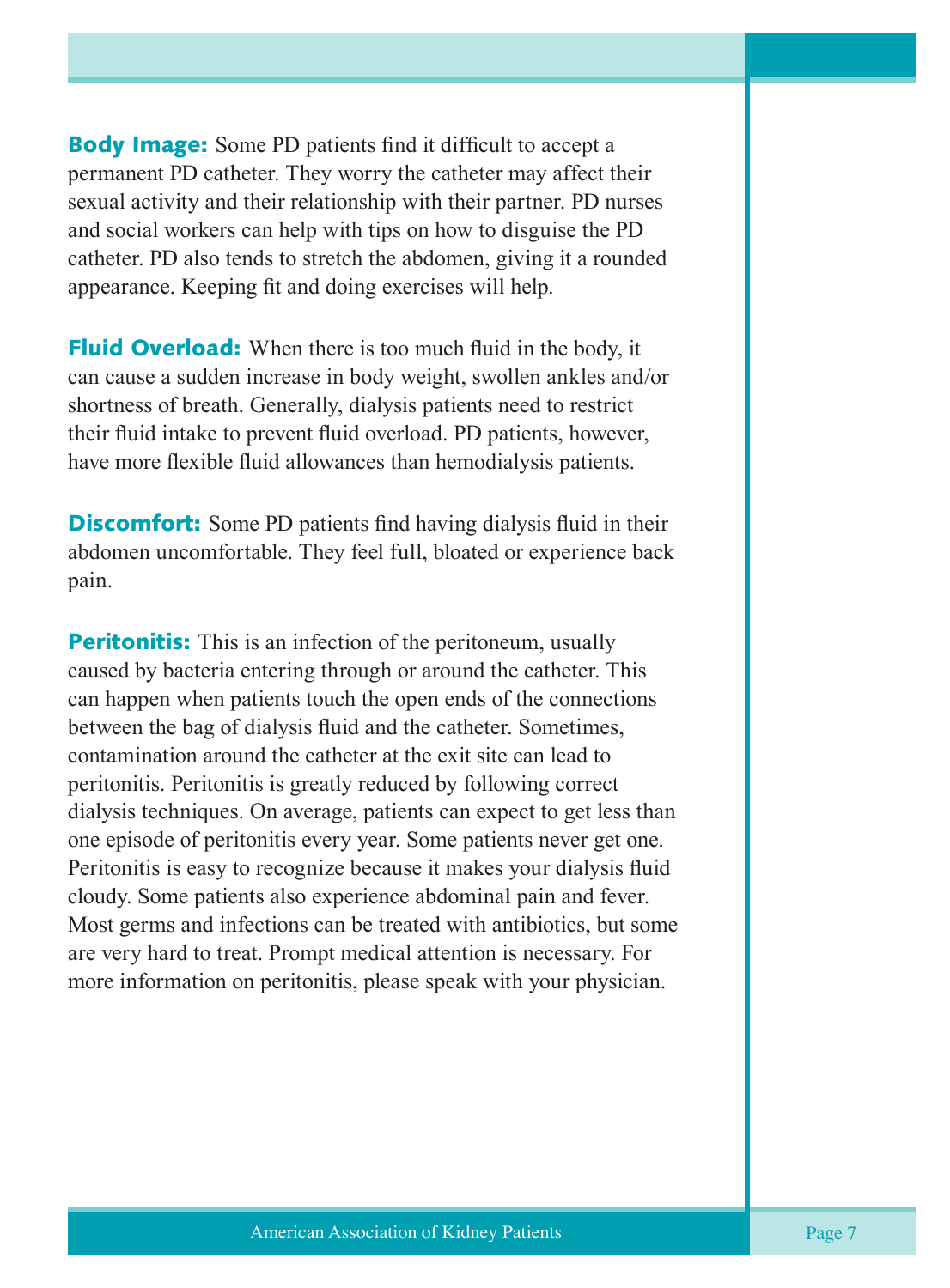**Body Image:** Some PD patients find it difficult to accept a permanent PD catheter. They worry the catheter may affect their sexual activity and their relationship with their partner. PD nurses and social workers can help with tips on how to disguise the PD catheter. PD also tends to stretch the abdomen, giving it a rounded appearance. Keeping fit and doing exercises will help.

**Fluid Overload:** When there is too much fluid in the body, it can cause a sudden increase in body weight, swollen ankles and/or shortness of breath. Generally, dialysis patients need to restrict their fluid intake to prevent fluid overload. PD patients, however, have more flexible fluid allowances than hemodialysis patients.

**Discomfort:** Some PD patients find having dialysis fluid in their abdomen uncomfortable. They feel full, bloated or experience back pain.

**Peritonitis:** This is an infection of the peritoneum, usually caused by bacteria entering through or around the catheter. This can happen when patients touch the open ends of the connections between the bag of dialysis fluid and the catheter. Sometimes, contamination around the catheter at the exit site can lead to peritonitis. Peritonitis is greatly reduced by following correct dialysis techniques. On average, patients can expect to get less than one episode of peritonitis every year. Some patients never get one. Peritonitis is easy to recognize because it makes your dialysis fluid cloudy. Some patients also experience abdominal pain and fever. Most germs and infections can be treated with antibiotics, but some are very hard to treat. Prompt medical attention is necessary. For more information on peritonitis, please speak with your physician.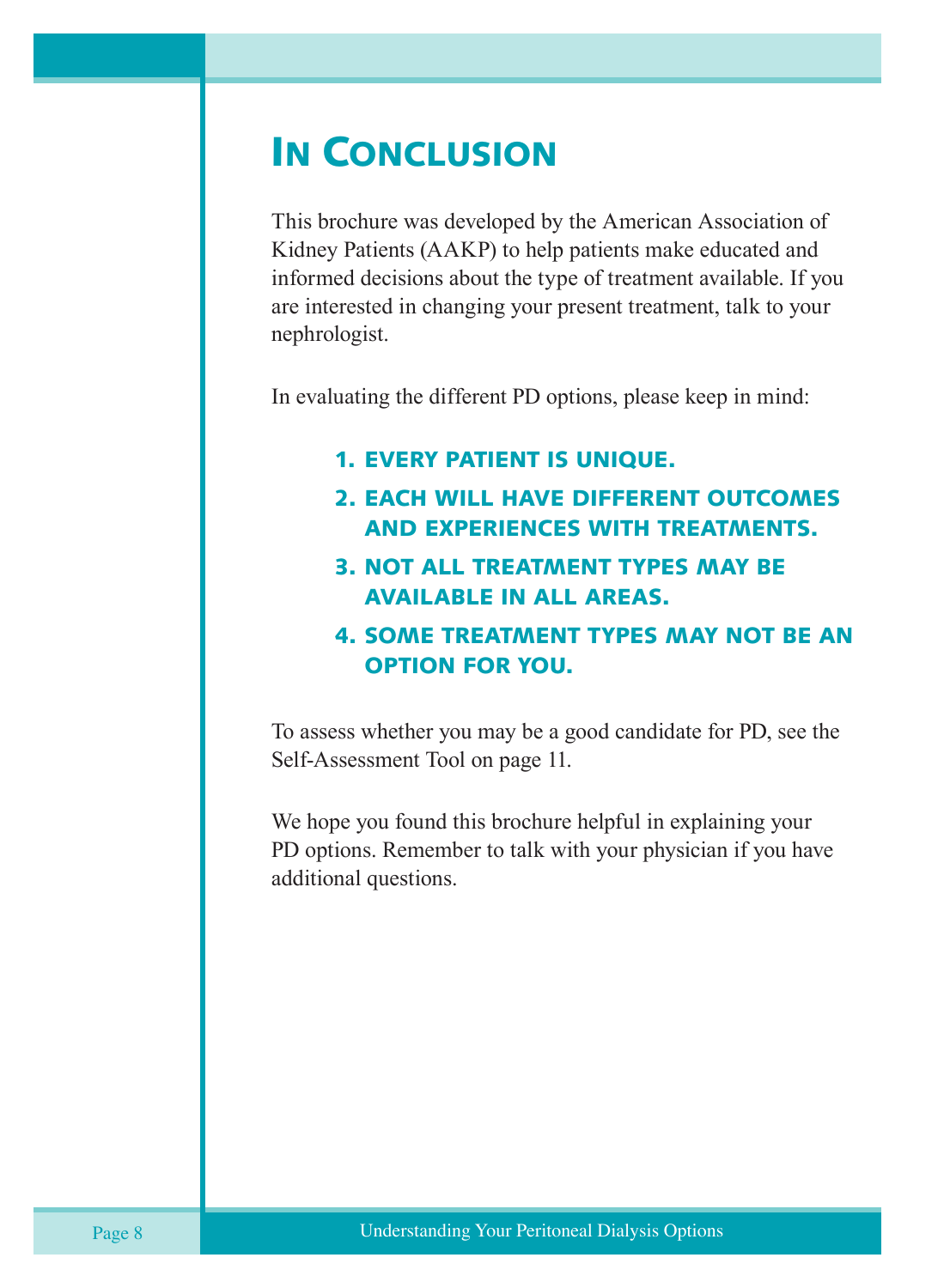### IN CONCLUSION

This brochure was developed by the American Association of Kidney Patients (AAKP) to help patients make educated and informed decisions about the type of treatment available. If you are interested in changing your present treatment, talk to your nephrologist.

In evaluating the different PD options, please keep in mind:

#### 1. EVERY PATIENT IS UNIQUE.

- 2. EACH WILL HAVE DIFFERENT OUTCOMES AND EXPERIENCES WITH TREATMENTS.
- 3. NOT ALL TREATMENT TYPES MAY BE AVAILABLE IN ALL AREAS.

#### 4. SOME TREATMENT TYPES MAY NOT BE AN OPTION FOR YOU.

To assess whether you may be a good candidate for PD, see the Self-Assessment Tool on page 11.

We hope you found this brochure helpful in explaining your PD options. Remember to talk with your physician if you have additional questions.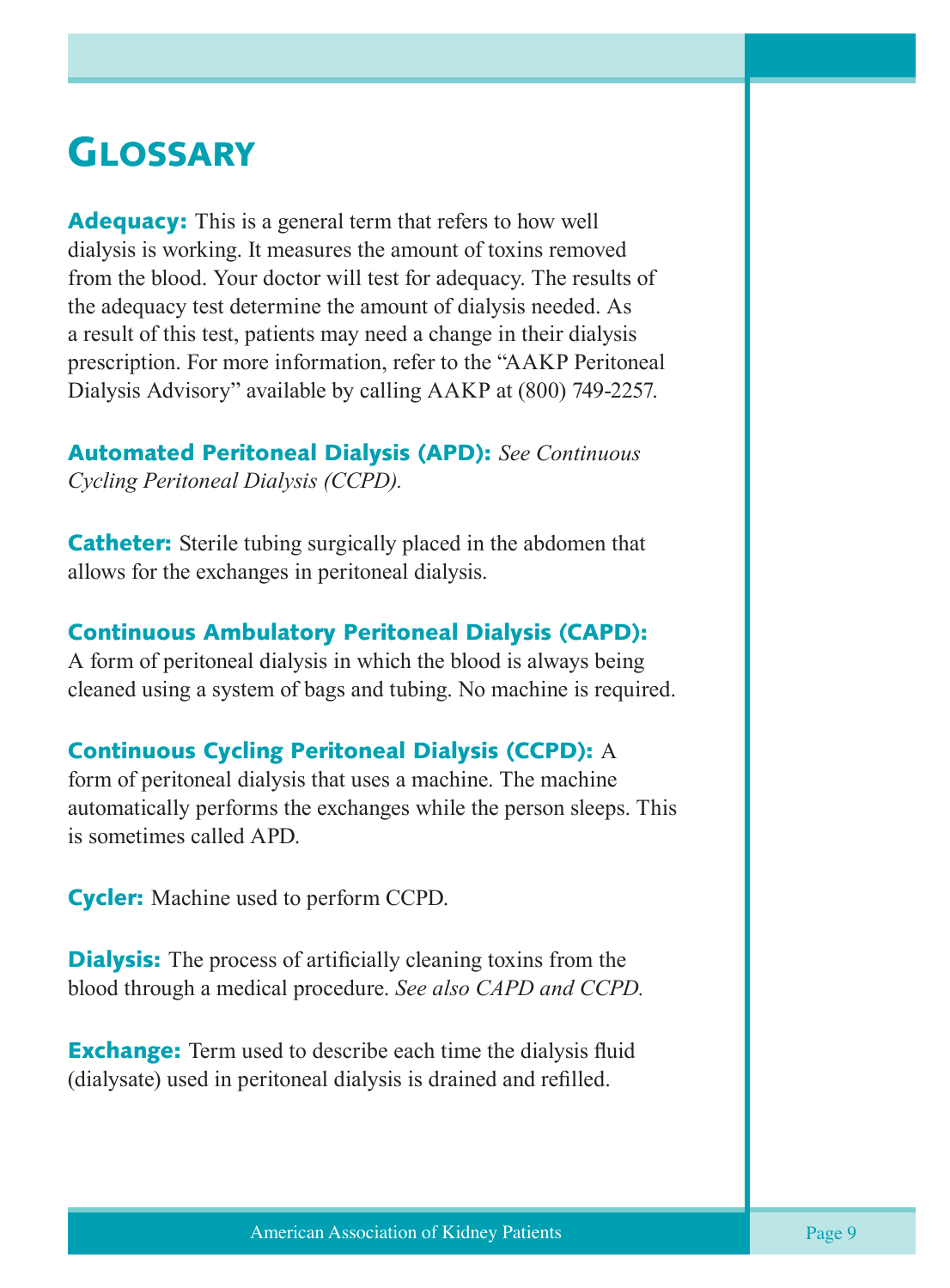### **GLOSSARY**

**Adequacy:** This is a general term that refers to how well dialysis is working. It measures the amount of toxins removed from the blood. Your doctor will test for adequacy. The results of the adequacy test determine the amount of dialysis needed. As a result of this test, patients may need a change in their dialysis prescription. For more information, refer to the "AAKP Peritoneal Dialysis Advisory" available by calling AAKP at (800) 749-2257.

Automated Peritoneal Dialysis (APD): *See Continuous Cycling Peritoneal Dialysis (CCPD).*

**Catheter:** Sterile tubing surgically placed in the abdomen that allows for the exchanges in peritoneal dialysis.

#### Continuous Ambulatory Peritoneal Dialysis (CAPD):

A form of peritoneal dialysis in which the blood is always being cleaned using a system of bags and tubing. No machine is required.

#### Continuous Cycling Peritoneal Dialysis (CCPD): A

form of peritoneal dialysis that uses a machine. The machine automatically performs the exchanges while the person sleeps. This is sometimes called APD.

**Cycler:** Machine used to perform CCPD.

**Dialysis:** The process of artificially cleaning toxins from the blood through a medical procedure. *See also CAPD and CCPD.*

**Exchange:** Term used to describe each time the dialysis fluid (dialysate) used in peritoneal dialysis is drained and refilled.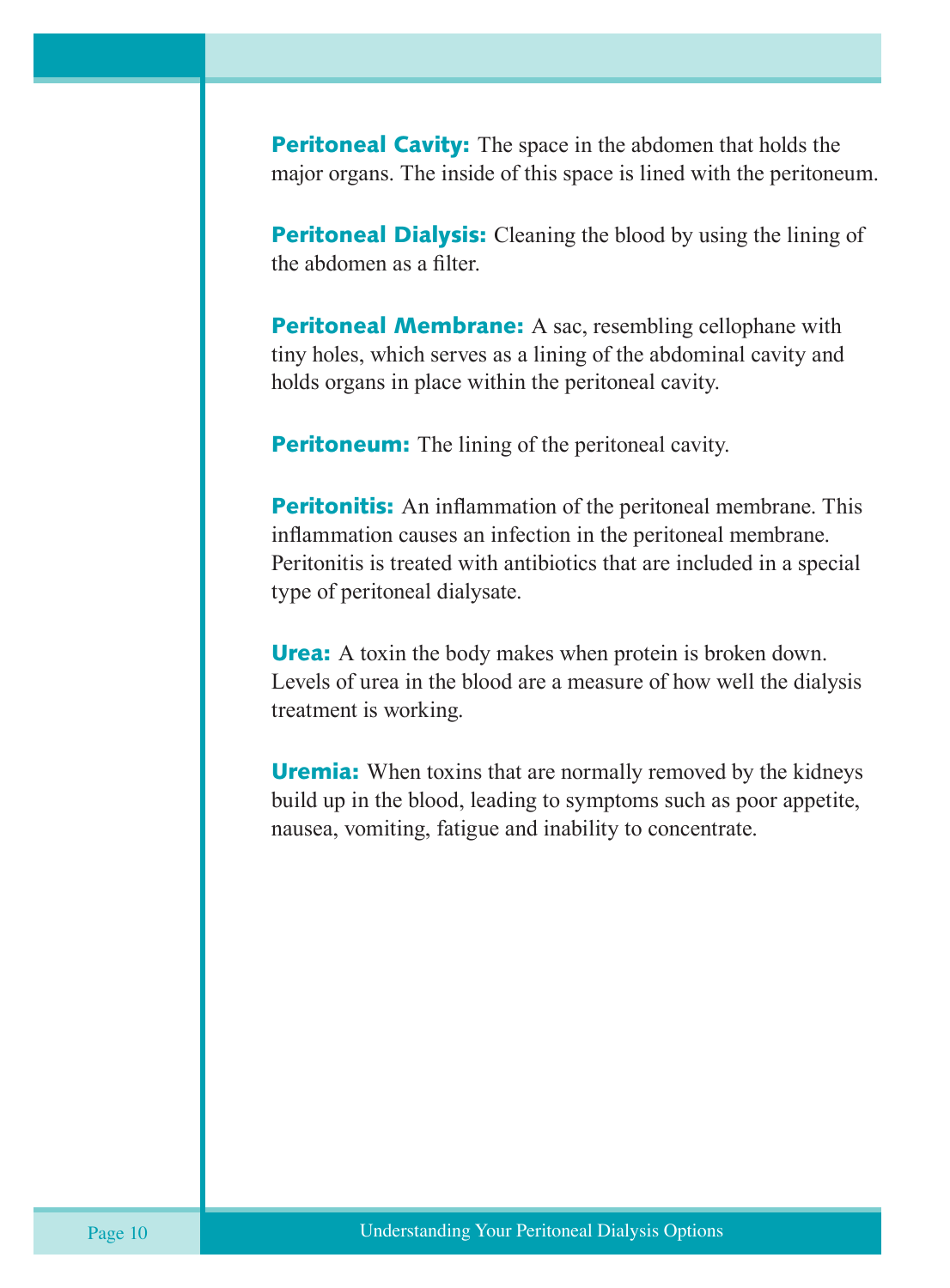**Peritoneal Cavity:** The space in the abdomen that holds the major organs. The inside of this space is lined with the peritoneum.

**Peritoneal Dialysis:** Cleaning the blood by using the lining of the abdomen as a filter.

**Peritoneal Membrane:** A sac, resembling cellophane with tiny holes, which serves as a lining of the abdominal cavity and holds organs in place within the peritoneal cavity.

**Peritoneum:** The lining of the peritoneal cavity.

**Peritonitis:** An inflammation of the peritoneal membrane. This inflammation causes an infection in the peritoneal membrane. Peritonitis is treated with antibiotics that are included in a special type of peritoneal dialysate.

**Urea:** A toxin the body makes when protein is broken down. Levels of urea in the blood are a measure of how well the dialysis treatment is working.

**Uremia:** When toxins that are normally removed by the kidneys build up in the blood, leading to symptoms such as poor appetite, nausea, vomiting, fatigue and inability to concentrate.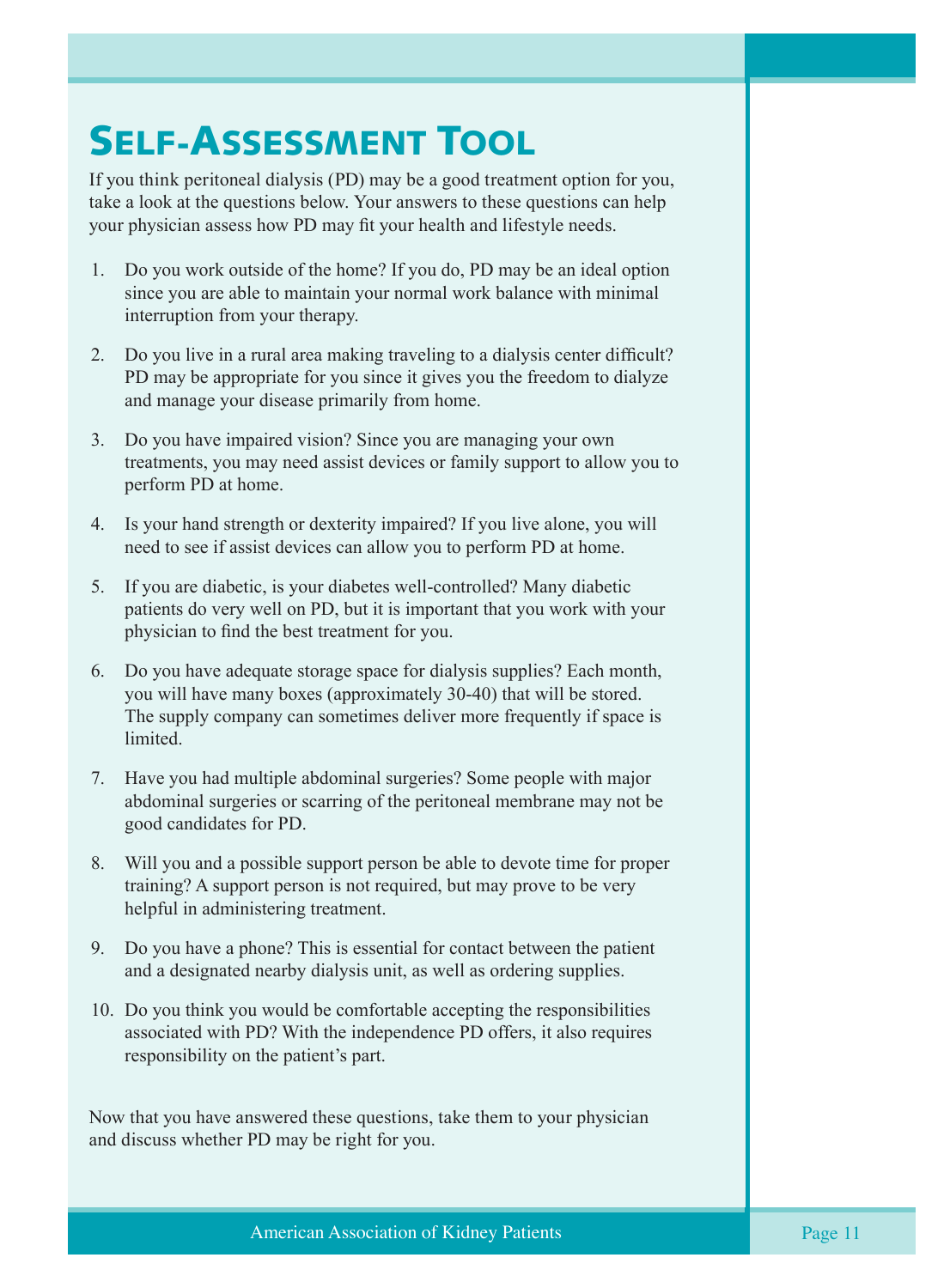## SELF-ASSESSMENT TOOL

If you think peritoneal dialysis (PD) may be a good treatment option for you, take a look at the questions below. Your answers to these questions can help your physician assess how PD may fit your health and lifestyle needs.

- 1. Do you work outside of the home? If you do, PD may be an ideal option since you are able to maintain your normal work balance with minimal interruption from your therapy.
- 2. Do you live in a rural area making traveling to a dialysis center difficult? PD may be appropriate for you since it gives you the freedom to dialyze and manage your disease primarily from home.
- 3. Do you have impaired vision? Since you are managing your own treatments, you may need assist devices or family support to allow you to perform PD at home.
- 4. Is your hand strength or dexterity impaired? If you live alone, you will need to see if assist devices can allow you to perform PD at home.
- 5. If you are diabetic, is your diabetes well-controlled? Many diabetic patients do very well on PD, but it is important that you work with your physician to find the best treatment for you.
- 6. Do you have adequate storage space for dialysis supplies? Each month, you will have many boxes (approximately 30-40) that will be stored. The supply company can sometimes deliver more frequently if space is limited.
- 7. Have you had multiple abdominal surgeries? Some people with major abdominal surgeries or scarring of the peritoneal membrane may not be good candidates for PD.
- 8. Will you and a possible support person be able to devote time for proper training? A support person is not required, but may prove to be very helpful in administering treatment.
- 9. Do you have a phone? This is essential for contact between the patient and a designated nearby dialysis unit, as well as ordering supplies.
- 10. Do you think you would be comfortable accepting the responsibilities associated with PD? With the independence PD offers, it also requires responsibility on the patient's part.

Now that you have answered these questions, take them to your physician and discuss whether PD may be right for you.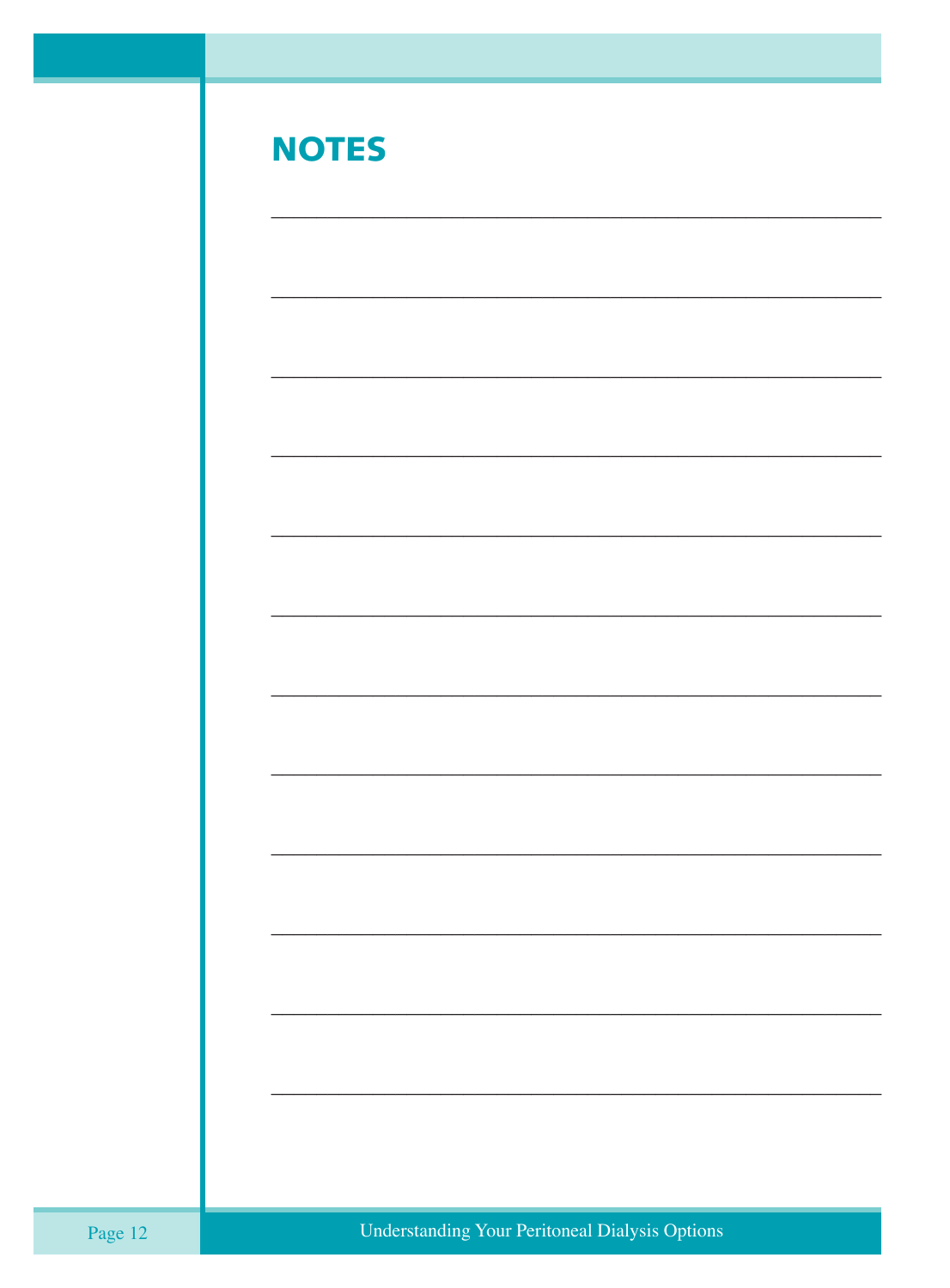| <b>NOTES</b> |  |
|--------------|--|
|              |  |
|              |  |
|              |  |
|              |  |
|              |  |
|              |  |
|              |  |
|              |  |
|              |  |
|              |  |
|              |  |
|              |  |
|              |  |

÷,

-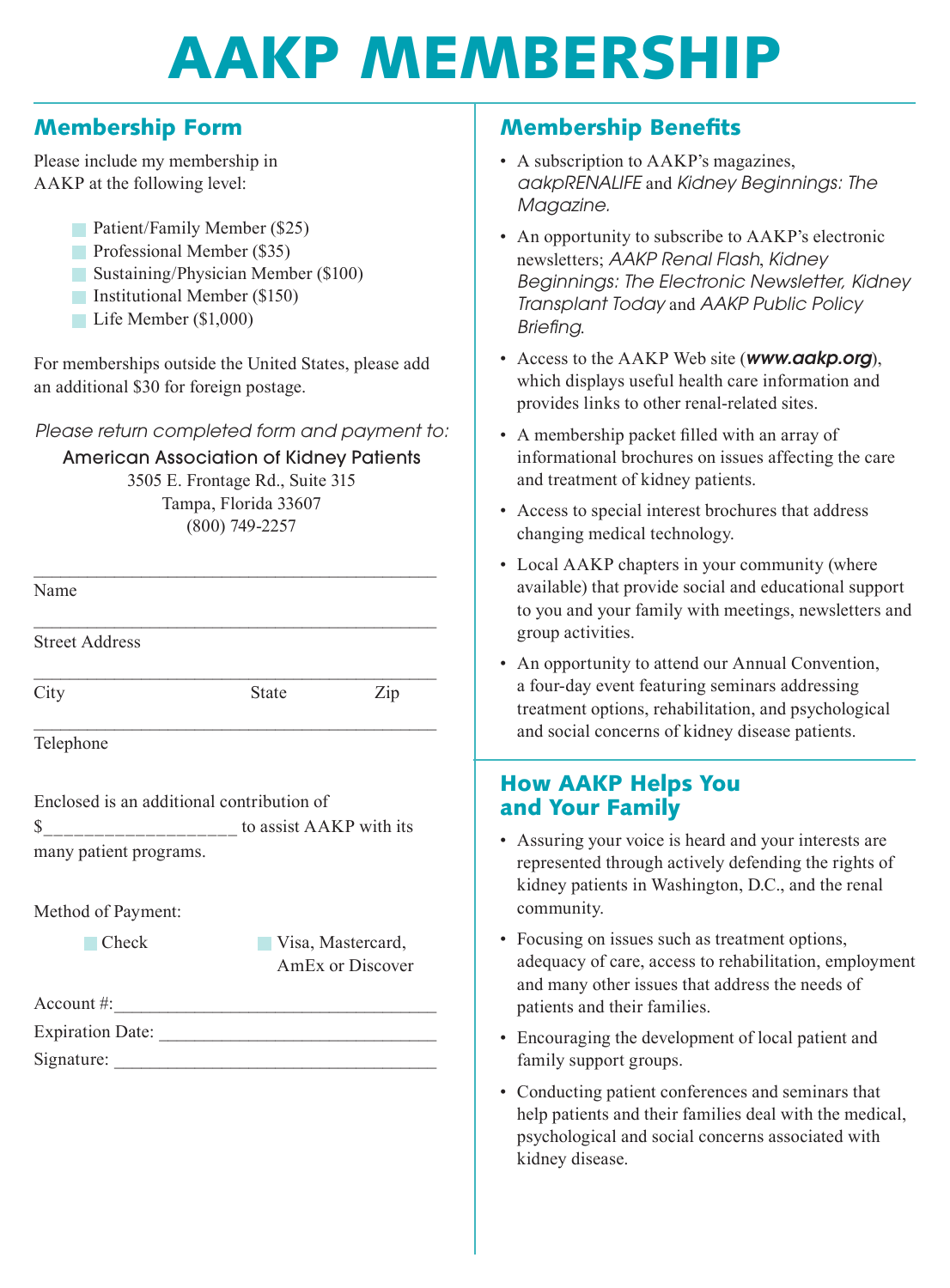# AAKP MEMBERSHIP

#### Membership Form

Please include my membership in AAKP at the following level:

- **Patient/Family Member (\$25)**
- Professional Member (\$35)
- Sustaining/Physician Member (\$100)
- Institutional Member (\$150)
- Life Member (\$1,000)

For memberships outside the United States, please add an additional \$30 for foreign postage.

Please return completed form and payment to:

American Association of Kidney Patients

3505 E. Frontage Rd., Suite 315 Tampa, Florida 33607 (800) 749-2257

| Name                                      |                                                                                                                                                                                                                                                                                                                                                                                                                                                                                                                                                                                             |     |  |  |  |  |
|-------------------------------------------|---------------------------------------------------------------------------------------------------------------------------------------------------------------------------------------------------------------------------------------------------------------------------------------------------------------------------------------------------------------------------------------------------------------------------------------------------------------------------------------------------------------------------------------------------------------------------------------------|-----|--|--|--|--|
| <b>Street Address</b>                     |                                                                                                                                                                                                                                                                                                                                                                                                                                                                                                                                                                                             |     |  |  |  |  |
| City                                      | State                                                                                                                                                                                                                                                                                                                                                                                                                                                                                                                                                                                       | Zip |  |  |  |  |
| Telephone                                 |                                                                                                                                                                                                                                                                                                                                                                                                                                                                                                                                                                                             |     |  |  |  |  |
| Enclosed is an additional contribution of |                                                                                                                                                                                                                                                                                                                                                                                                                                                                                                                                                                                             |     |  |  |  |  |
|                                           | $\frac{\text{S}_{\text{________}}}{\text{S}_{\text{________}}}-\frac{\text{I}_{\text{________}}}{\text{S}_{\text{________}}}-\frac{\text{I}_{\text{________}}}{\text{S}_{\text{________}}}-\frac{\text{I}_{\text{________}}}{\text{S}_{\text{________}}}-\frac{\text{I}_{\text{________}}}{\text{S}_{\text{________}}}-\frac{\text{I}_{\text{________}}}{\text{S}_{\text{________}}}-\frac{\text{I}_{\text{________}}}{\text{S}_{\text{________}}}-\frac{\text{I}_{\text{________}}}{\text{S}_{\text{________}}}-\frac{\text{I}_{\text{________}}}{\text{S}_{\text{________}}}-\frac{\text$ |     |  |  |  |  |
| many patient programs.                    |                                                                                                                                                                                                                                                                                                                                                                                                                                                                                                                                                                                             |     |  |  |  |  |
|                                           |                                                                                                                                                                                                                                                                                                                                                                                                                                                                                                                                                                                             |     |  |  |  |  |
| Method of Payment:                        |                                                                                                                                                                                                                                                                                                                                                                                                                                                                                                                                                                                             |     |  |  |  |  |

Check Visa, Mastercard, AmEx or Discover

Account #: \_\_\_\_\_\_\_\_\_\_\_\_\_\_\_\_\_\_\_\_\_\_\_\_\_\_\_\_\_\_\_\_\_\_\_\_

| <b>Expiration Date:</b> |  |  |
|-------------------------|--|--|
|                         |  |  |

Signature: \_\_\_\_\_\_\_\_\_\_\_\_\_\_\_\_\_\_\_\_\_\_\_\_\_\_\_\_\_\_\_\_\_\_\_\_

#### Membership Benefits

- A subscription to AAKP's magazines, aakpRENALIFE and Kidney Beginnings: The Magazine.
- An opportunity to subscribe to AAKP's electronic newsletters; AAKP Renal Flash, Kidney Beginnings: The Electronic Newsletter, Kidney Transplant Today and AAKP Public Policy Briefing.
- Access to the AAKP Web site (www.aakp.org), which displays useful health care information and provides links to other renal-related sites.
- A membership packet filled with an array of informational brochures on issues affecting the care and treatment of kidney patients.
- Access to special interest brochures that address changing medical technology.
- Local AAKP chapters in your community (where available) that provide social and educational support to you and your family with meetings, newsletters and group activities.
- An opportunity to attend our Annual Convention, a four-day event featuring seminars addressing treatment options, rehabilitation, and psychological and social concerns of kidney disease patients.

#### How AAKP Helps You and Your Family

- Assuring your voice is heard and your interests are represented through actively defending the rights of kidney patients in Washington, D.C., and the renal community.
- Focusing on issues such as treatment options, adequacy of care, access to rehabilitation, employment and many other issues that address the needs of patients and their families.
- Encouraging the development of local patient and family support groups.
- Conducting patient conferences and seminars that help patients and their families deal with the medical, psychological and social concerns associated with kidney disease.